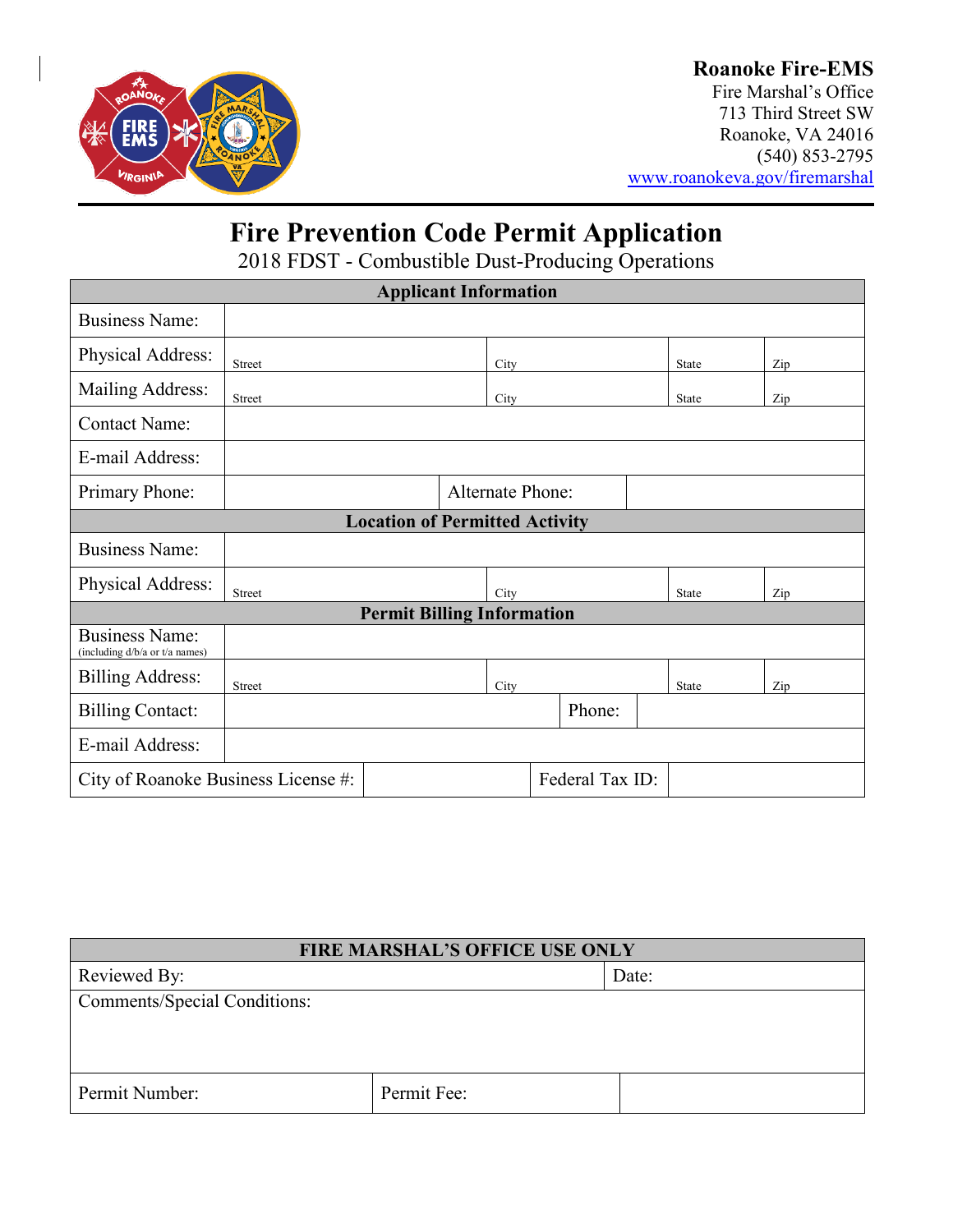

### **Roanoke Fire-EMS**

Fire Marshal's Office 713 Third Street SW Roanoke, VA 24016 (540) 853-2795 [www.roanokeva.gov/firemarshal](http://www.roanokeva.gov/firemarshal)

# **Fire Prevention Code Permit Application**

2018 FDST - Combustible Dust-Producing Operations

| <b>Applicant Information</b>                            |                         |  |      |        |  |  |              |  |     |
|---------------------------------------------------------|-------------------------|--|------|--------|--|--|--------------|--|-----|
| <b>Business Name:</b>                                   |                         |  |      |        |  |  |              |  |     |
| Physical Address:                                       | Street                  |  | City |        |  |  | State        |  | Zip |
| Mailing Address:                                        | Street                  |  | City |        |  |  | State        |  | Zip |
| <b>Contact Name:</b>                                    |                         |  |      |        |  |  |              |  |     |
| E-mail Address:                                         |                         |  |      |        |  |  |              |  |     |
| Primary Phone:                                          | <b>Alternate Phone:</b> |  |      |        |  |  |              |  |     |
| <b>Location of Permitted Activity</b>                   |                         |  |      |        |  |  |              |  |     |
| <b>Business Name:</b>                                   |                         |  |      |        |  |  |              |  |     |
| Physical Address:                                       | Street                  |  | City |        |  |  | State        |  | Zip |
| <b>Permit Billing Information</b>                       |                         |  |      |        |  |  |              |  |     |
| <b>Business Name:</b><br>(including d/b/a or t/a names) |                         |  |      |        |  |  |              |  |     |
| <b>Billing Address:</b>                                 | Street                  |  | City |        |  |  | <b>State</b> |  | Zip |
| <b>Billing Contact:</b>                                 |                         |  |      | Phone: |  |  |              |  |     |
| E-mail Address:                                         |                         |  |      |        |  |  |              |  |     |
| Federal Tax ID:<br>City of Roanoke Business License #:  |                         |  |      |        |  |  |              |  |     |

| <b>FIRE MARSHAL'S OFFICE USE ONLY</b> |             |  |  |  |
|---------------------------------------|-------------|--|--|--|
| Reviewed By:                          | Date:       |  |  |  |
| <b>Comments/Special Conditions:</b>   |             |  |  |  |
|                                       |             |  |  |  |
|                                       |             |  |  |  |
| Permit Number:                        | Permit Fee: |  |  |  |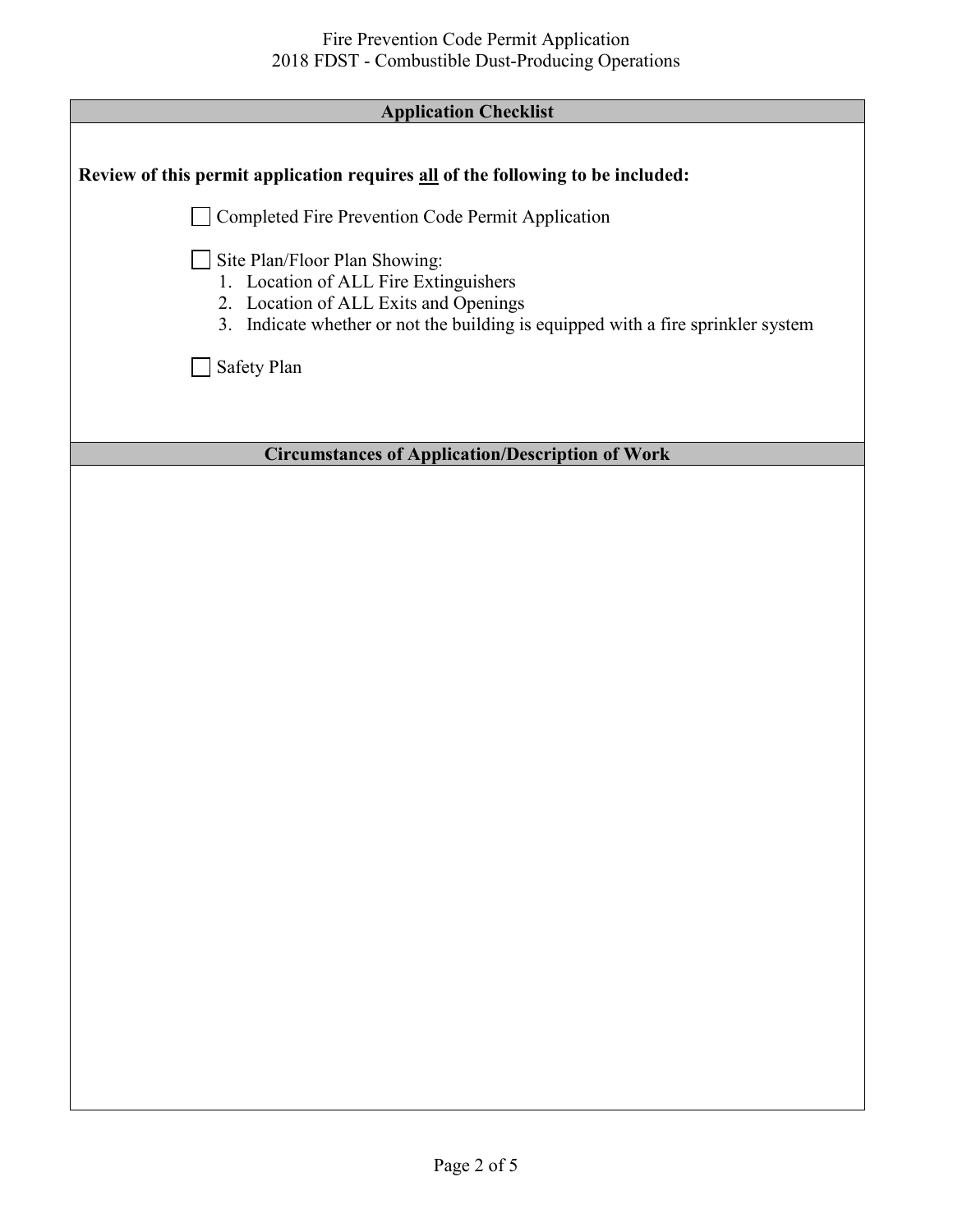| <b>Application Checklist</b> |  |
|------------------------------|--|
|                              |  |

| <b>Application Checklist</b>                                                                                                                                                                        |
|-----------------------------------------------------------------------------------------------------------------------------------------------------------------------------------------------------|
|                                                                                                                                                                                                     |
| Review of this permit application requires all of the following to be included:                                                                                                                     |
| Completed Fire Prevention Code Permit Application                                                                                                                                                   |
| Site Plan/Floor Plan Showing:<br>1. Location of ALL Fire Extinguishers<br>2. Location of ALL Exits and Openings<br>3. Indicate whether or not the building is equipped with a fire sprinkler system |
| Safety Plan                                                                                                                                                                                         |
|                                                                                                                                                                                                     |
| <b>Circumstances of Application/Description of Work</b>                                                                                                                                             |
|                                                                                                                                                                                                     |
|                                                                                                                                                                                                     |
|                                                                                                                                                                                                     |
|                                                                                                                                                                                                     |
|                                                                                                                                                                                                     |
|                                                                                                                                                                                                     |
|                                                                                                                                                                                                     |
|                                                                                                                                                                                                     |
|                                                                                                                                                                                                     |
|                                                                                                                                                                                                     |
|                                                                                                                                                                                                     |
|                                                                                                                                                                                                     |
|                                                                                                                                                                                                     |
|                                                                                                                                                                                                     |
|                                                                                                                                                                                                     |
|                                                                                                                                                                                                     |
|                                                                                                                                                                                                     |
|                                                                                                                                                                                                     |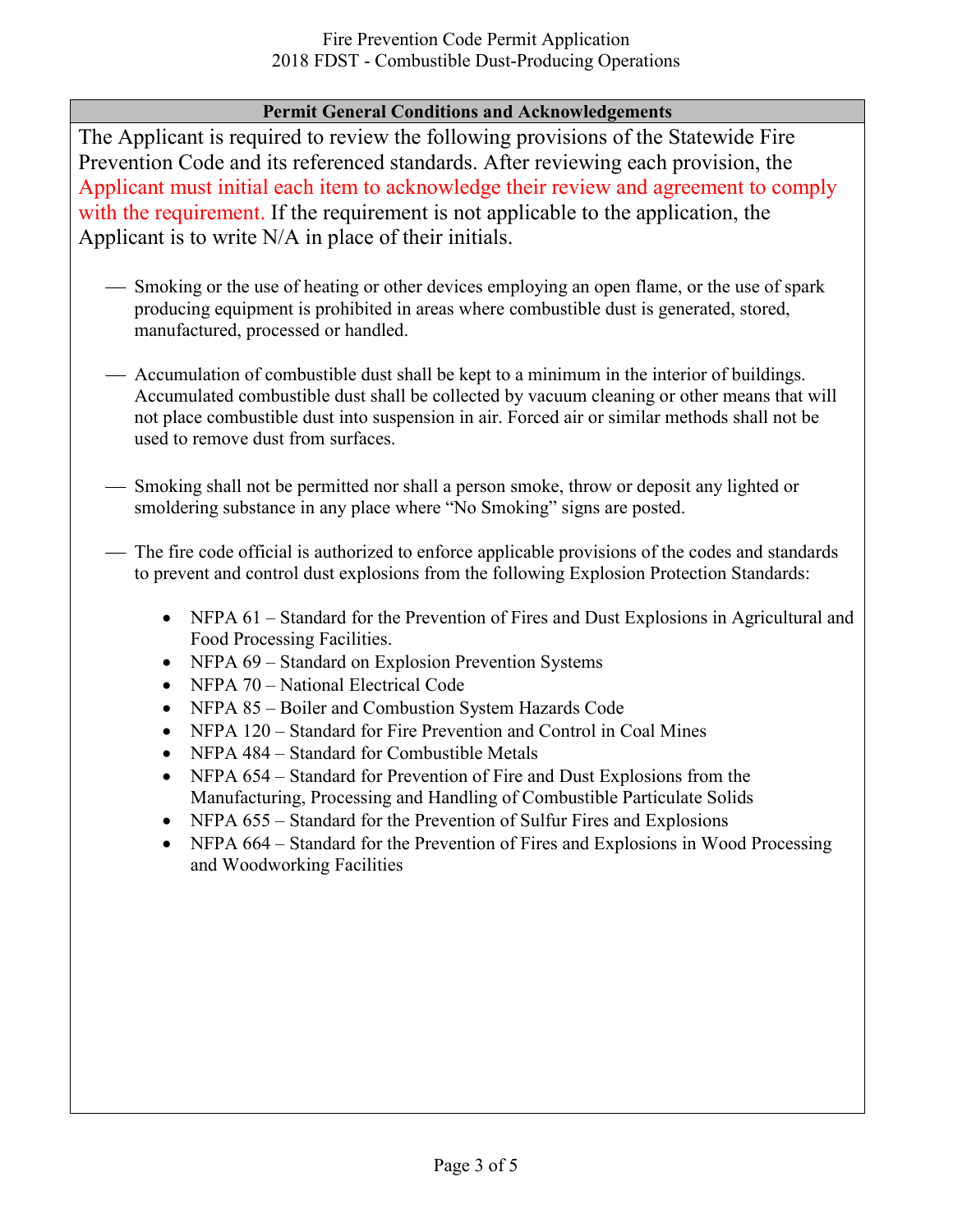#### **Permit General Conditions and Acknowledgements**

The Applicant is required to review the following provisions of the Statewide Fire Prevention Code and its referenced standards. After reviewing each provision, the Applicant must initial each item to acknowledge their review and agreement to comply with the requirement. If the requirement is not applicable to the application, the Applicant is to write N/A in place of their initials.

- Smoking or the use of heating or other devices employing an open flame, or the use of spark producing equipment is prohibited in areas where combustible dust is generated, stored, manufactured, processed or handled.
- Accumulation of combustible dust shall be kept to a minimum in the interior of buildings. Accumulated combustible dust shall be collected by vacuum cleaning or other means that will not place combustible dust into suspension in air. Forced air or similar methods shall not be used to remove dust from surfaces.
- Smoking shall not be permitted nor shall a person smoke, throw or deposit any lighted or smoldering substance in any place where "No Smoking" signs are posted.
- The fire code official is authorized to enforce applicable provisions of the codes and standards to prevent and control dust explosions from the following Explosion Protection Standards:
	- NFPA 61 Standard for the Prevention of Fires and Dust Explosions in Agricultural and Food Processing Facilities.
	- NFPA 69 Standard on Explosion Prevention Systems
	- NFPA 70 National Electrical Code
	- NFPA 85 Boiler and Combustion System Hazards Code
	- NFPA 120 Standard for Fire Prevention and Control in Coal Mines
	- NFPA 484 Standard for Combustible Metals
	- NFPA 654 Standard for Prevention of Fire and Dust Explosions from the Manufacturing, Processing and Handling of Combustible Particulate Solids
	- NFPA 655 Standard for the Prevention of Sulfur Fires and Explosions
	- NFPA 664 Standard for the Prevention of Fires and Explosions in Wood Processing and Woodworking Facilities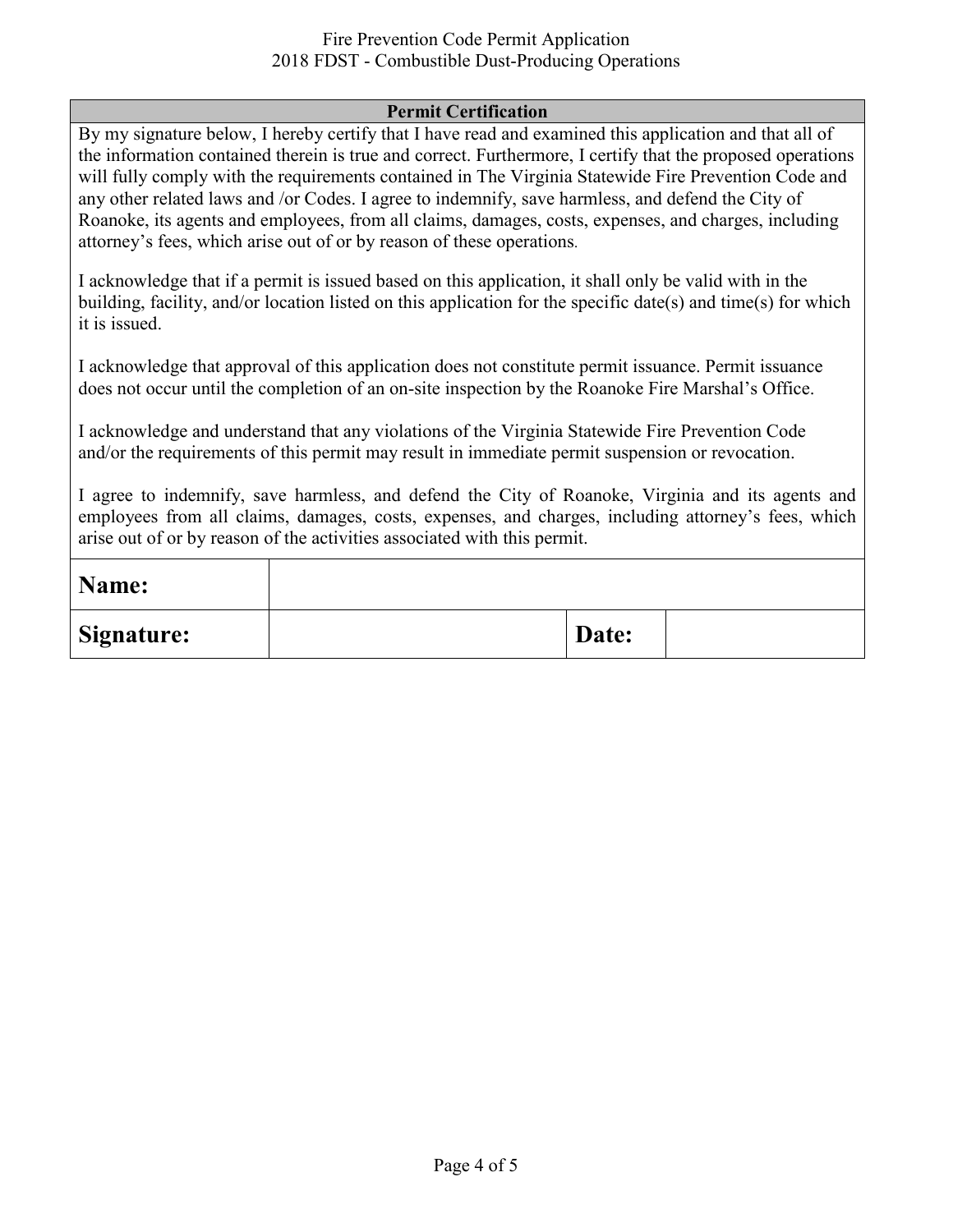#### Fire Prevention Code Permit Application 2018 FDST - Combustible Dust-Producing Operations

#### **Permit Certification**

By my signature below, I hereby certify that I have read and examined this application and that all of the information contained therein is true and correct. Furthermore, I certify that the proposed operations will fully comply with the requirements contained in The Virginia Statewide Fire Prevention Code and any other related laws and /or Codes. I agree to indemnify, save harmless, and defend the City of Roanoke, its agents and employees, from all claims, damages, costs, expenses, and charges, including attorney's fees, which arise out of or by reason of these operations.

I acknowledge that if a permit is issued based on this application, it shall only be valid with in the building, facility, and/or location listed on this application for the specific date(s) and time(s) for which it is issued.

I acknowledge that approval of this application does not constitute permit issuance. Permit issuance does not occur until the completion of an on-site inspection by the Roanoke Fire Marshal's Office.

I acknowledge and understand that any violations of the Virginia Statewide Fire Prevention Code and/or the requirements of this permit may result in immediate permit suspension or revocation.

I agree to indemnify, save harmless, and defend the City of Roanoke, Virginia and its agents and employees from all claims, damages, costs, expenses, and charges, including attorney's fees, which arise out of or by reason of the activities associated with this permit.

| Name:             |       |  |
|-------------------|-------|--|
| <b>Signature:</b> | Date: |  |